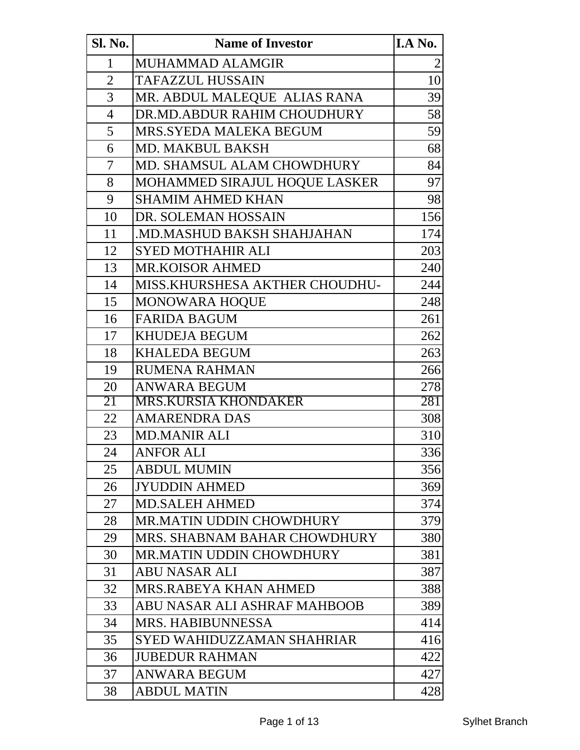| Sl. No.        | <b>Name of Investor</b>           | I.A No. |
|----------------|-----------------------------------|---------|
| 1              | MUHAMMAD ALAMGIR                  | 2       |
| $\overline{2}$ | <b>TAFAZZUL HUSSAIN</b>           | 10      |
| 3              | MR. ABDUL MALEQUE ALIAS RANA      | 39      |
| $\overline{4}$ | DR.MD.ABDUR RAHIM CHOUDHURY       | 58      |
| 5              | <b>MRS.SYEDA MALEKA BEGUM</b>     | 59      |
| 6              | <b>MD. MAKBUL BAKSH</b>           | 68      |
| 7              | MD. SHAMSUL ALAM CHOWDHURY        | 84      |
| 8              | MOHAMMED SIRAJUL HOQUE LASKER     | 97      |
| 9              | <b>SHAMIM AHMED KHAN</b>          | 98      |
| 10             | DR. SOLEMAN HOSSAIN               | 156     |
| 11             | MD.MASHUD BAKSH SHAHJAHAN         | 174     |
| 12             | <b>SYED MOTHAHIR ALI</b>          | 203     |
| 13             | <b>MR.KOISOR AHMED</b>            | 240     |
| 14             | MISS.KHURSHESA AKTHER CHOUDHU-    | 244     |
| 15             | MONOWARA HOQUE                    | 248     |
| 16             | <b>FARIDA BAGUM</b>               | 261     |
| 17             | <b>KHUDEJA BEGUM</b>              | 262     |
| 18             | KHALEDA BEGUM                     | 263     |
| 19             | <b>RUMENA RAHMAN</b>              | 266     |
| 20             | <b>ANWARA BEGUM</b>               | 278     |
| 21             | <b>MRS.KURSIA KHONDAKER</b>       | 281     |
| 22             | <b>AMARENDRA DAS</b>              | 308     |
| 23             | <b>MD.MANIR ALI</b>               | 310     |
| 24             | <b>ANFOR ALI</b>                  | 336     |
| 25             | <b>ABDUL MUMIN</b>                | 356     |
| 26             | <b>JYUDDIN AHMED</b>              | 369     |
| 27             | <b>MD.SALEH AHMED</b>             | 374     |
| 28             | <b>MR.MATIN UDDIN CHOWDHURY</b>   | 379     |
| 29             | MRS. SHABNAM BAHAR CHOWDHURY      | 380     |
| 30             | <b>MR.MATIN UDDIN CHOWDHURY</b>   | 381     |
| 31             | <b>ABU NASAR ALI</b>              | 387     |
| 32             | <b>MRS.RABEYA KHAN AHMED</b>      | 388     |
| 33             | ABU NASAR ALI ASHRAF MAHBOOB      | 389     |
| 34             | <b>MRS. HABIBUNNESSA</b>          | 414     |
| 35             | <b>SYED WAHIDUZZAMAN SHAHRIAR</b> | 416     |
| 36             | <b>JUBEDUR RAHMAN</b>             | 422     |
| 37             | <b>ANWARA BEGUM</b>               | 427     |
| 38             | <b>ABDUL MATIN</b>                | 428     |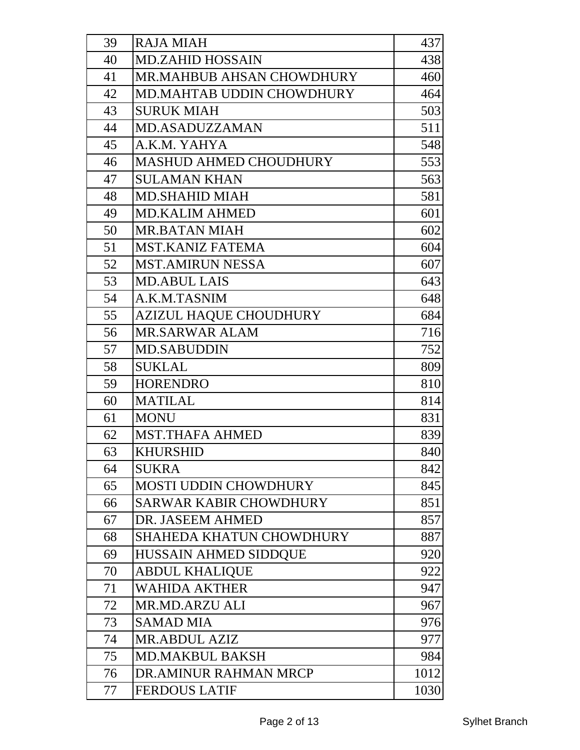| 39 | <b>RAJA MIAH</b>                 | 437  |
|----|----------------------------------|------|
| 40 | <b>MD.ZAHID HOSSAIN</b>          | 438  |
| 41 | MR.MAHBUB AHSAN CHOWDHURY        | 460  |
| 42 | <b>MD.MAHTAB UDDIN CHOWDHURY</b> | 464  |
| 43 | <b>SURUK MIAH</b>                | 503  |
| 44 | <b>MD.ASADUZZAMAN</b>            | 511  |
| 45 | A.K.M. YAHYA                     | 548  |
| 46 | <b>MASHUD AHMED CHOUDHURY</b>    | 553  |
| 47 | <b>SULAMAN KHAN</b>              | 563  |
| 48 | <b>MD.SHAHID MIAH</b>            | 581  |
| 49 | <b>MD.KALIM AHMED</b>            | 601  |
| 50 | <b>MR.BATAN MIAH</b>             | 602  |
| 51 | <b>MST.KANIZ FATEMA</b>          | 604  |
| 52 | <b>MST.AMIRUN NESSA</b>          | 607  |
| 53 | <b>MD.ABUL LAIS</b>              | 643  |
| 54 | A.K.M.TASNIM                     | 648  |
| 55 | <b>AZIZUL HAQUE CHOUDHURY</b>    | 684  |
| 56 | <b>MR.SARWAR ALAM</b>            | 716  |
| 57 | <b>MD.SABUDDIN</b>               | 752  |
| 58 | <b>SUKLAL</b>                    | 809  |
| 59 | <b>HORENDRO</b>                  | 810  |
| 60 | <b>MATILAL</b>                   | 814  |
| 61 | <b>MONU</b>                      | 831  |
| 62 | <b>MST.THAFA AHMED</b>           | 839  |
| 63 | <b>KHURSHID</b>                  | 840  |
| 64 | <b>SUKRA</b>                     | 842  |
| 65 | <b>MOSTI UDDIN CHOWDHURY</b>     | 845  |
| 66 | <b>SARWAR KABIR CHOWDHURY</b>    | 851  |
| 67 | DR. JASEEM AHMED                 | 857  |
| 68 | SHAHEDA KHATUN CHOWDHURY         | 887  |
| 69 | HUSSAIN AHMED SIDDQUE            | 920  |
| 70 | <b>ABDUL KHALIQUE</b>            | 922  |
| 71 | <b>WAHIDA AKTHER</b>             | 947  |
| 72 | <b>MR.MD.ARZU ALI</b>            | 967  |
| 73 | <b>SAMAD MIA</b>                 | 976  |
| 74 | <b>MR.ABDUL AZIZ</b>             | 977  |
| 75 | <b>MD.MAKBUL BAKSH</b>           | 984  |
| 76 | DR.AMINUR RAHMAN MRCP            | 1012 |
| 77 | <b>FERDOUS LATIF</b>             | 1030 |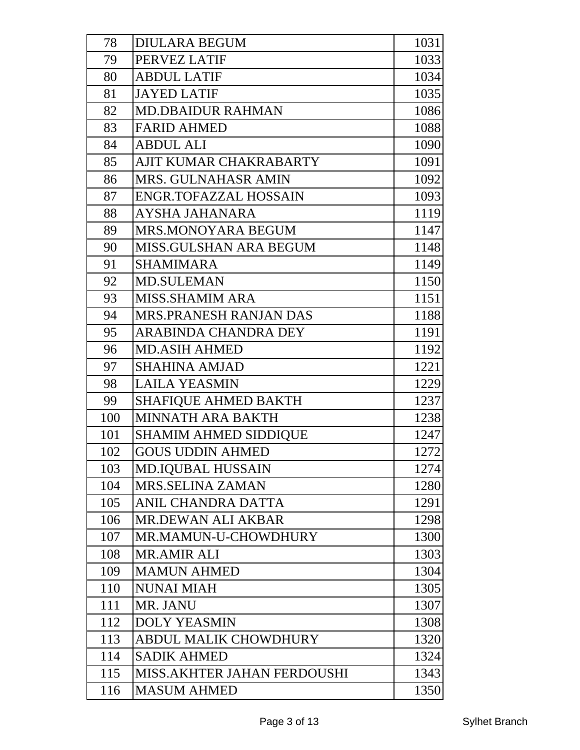| 78  | <b>DIULARA BEGUM</b>         | 1031 |
|-----|------------------------------|------|
| 79  | PERVEZ LATIF                 | 1033 |
| 80  | <b>ABDUL LATIF</b>           | 1034 |
| 81  | <b>JAYED LATIF</b>           | 1035 |
| 82  | <b>MD.DBAIDUR RAHMAN</b>     | 1086 |
| 83  | <b>FARID AHMED</b>           | 1088 |
| 84  | <b>ABDUL ALI</b>             | 1090 |
| 85  | AJIT KUMAR CHAKRABARTY       | 1091 |
| 86  | <b>MRS. GULNAHASR AMIN</b>   | 1092 |
| 87  | <b>ENGR.TOFAZZAL HOSSAIN</b> | 1093 |
| 88  | AYSHA JAHANARA               | 1119 |
| 89  | MRS.MONOYARA BEGUM           | 1147 |
| 90  | MISS.GULSHAN ARA BEGUM       | 1148 |
| 91  | <b>SHAMIMARA</b>             | 1149 |
| 92  | <b>MD.SULEMAN</b>            | 1150 |
| 93  | <b>MISS.SHAMIM ARA</b>       | 1151 |
| 94  | MRS.PRANESH RANJAN DAS       | 1188 |
| 95  | <b>ARABINDA CHANDRA DEY</b>  | 1191 |
| 96  | <b>MD.ASIH AHMED</b>         | 1192 |
| 97  | <b>SHAHINA AMJAD</b>         | 1221 |
| 98  | <b>LAILA YEASMIN</b>         | 1229 |
| 99  | <b>SHAFIQUE AHMED BAKTH</b>  | 1237 |
| 100 | MINNATH ARA BAKTH            | 1238 |
| 101 | <b>SHAMIM AHMED SIDDIQUE</b> | 1247 |
| 102 | <b>GOUS UDDIN AHMED</b>      | 1272 |
| 103 | <b>MD.IQUBAL HUSSAIN</b>     | 1274 |
| 104 | MRS.SELINA ZAMAN             | 1280 |
| 105 | ANIL CHANDRA DATTA           | 1291 |
| 106 | <b>MR.DEWAN ALI AKBAR</b>    | 1298 |
| 107 | MR.MAMUN-U-CHOWDHURY         | 1300 |
| 108 | <b>MR.AMIR ALI</b>           | 1303 |
| 109 | <b>MAMUN AHMED</b>           | 1304 |
| 110 | <b>NUNAI MIAH</b>            | 1305 |
| 111 | MR. JANU                     | 1307 |
| 112 | <b>DOLY YEASMIN</b>          | 1308 |
| 113 | <b>ABDUL MALIK CHOWDHURY</b> | 1320 |
| 114 | <b>SADIK AHMED</b>           | 1324 |
| 115 | MISS.AKHTER JAHAN FERDOUSHI  | 1343 |
| 116 | <b>MASUM AHMED</b>           | 1350 |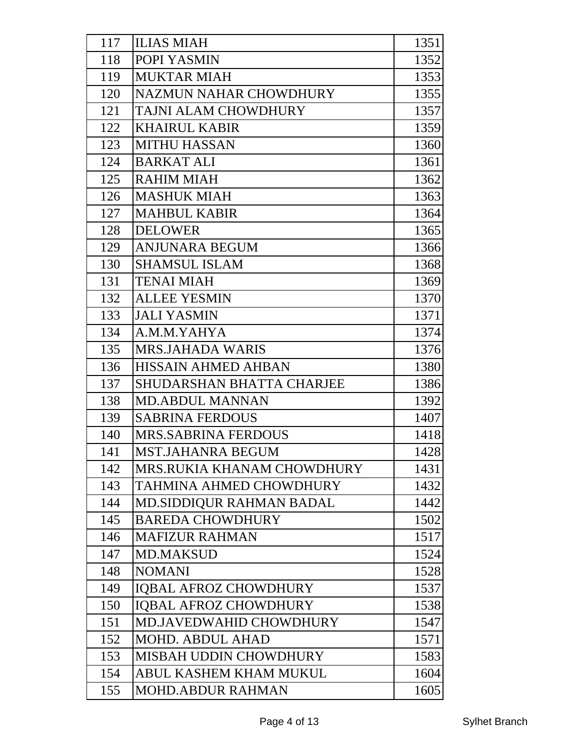| 117 | <b>ILIAS MIAH</b>                | 1351 |
|-----|----------------------------------|------|
| 118 | POPI YASMIN                      | 1352 |
| 119 | <b>MUKTAR MIAH</b>               | 1353 |
| 120 | <b>NAZMUN NAHAR CHOWDHURY</b>    | 1355 |
| 121 | TAJNI ALAM CHOWDHURY             | 1357 |
| 122 | <b>KHAIRUL KABIR</b>             | 1359 |
| 123 | <b>MITHU HASSAN</b>              | 1360 |
| 124 | <b>BARKAT ALI</b>                | 1361 |
| 125 | <b>RAHIM MIAH</b>                | 1362 |
| 126 | <b>MASHUK MIAH</b>               | 1363 |
| 127 | <b>MAHBUL KABIR</b>              | 1364 |
| 128 | <b>DELOWER</b>                   | 1365 |
| 129 | <b>ANJUNARA BEGUM</b>            | 1366 |
| 130 | <b>SHAMSUL ISLAM</b>             | 1368 |
| 131 | <b>TENAI MIAH</b>                | 1369 |
| 132 | <b>ALLEE YESMIN</b>              | 1370 |
| 133 | <b>JALI YASMIN</b>               | 1371 |
| 134 | A.M.M.YAHYA                      | 1374 |
| 135 | <b>MRS.JAHADA WARIS</b>          | 1376 |
| 136 | <b>HISSAIN AHMED AHBAN</b>       | 1380 |
| 137 | <b>SHUDARSHAN BHATTA CHARJEE</b> | 1386 |
| 138 | <b>MD.ABDUL MANNAN</b>           | 1392 |
| 139 | <b>SABRINA FERDOUS</b>           | 1407 |
| 140 | <b>MRS.SABRINA FERDOUS</b>       | 1418 |
| 141 | <b>MST.JAHANRA BEGUM</b>         | 1428 |
| 142 | MRS.RUKIA KHANAM CHOWDHURY       | 1431 |
| 143 | <b>TAHMINA AHMED CHOWDHURY</b>   | 1432 |
| 144 | <b>MD.SIDDIQUR RAHMAN BADAL</b>  | 1442 |
| 145 | <b>BAREDA CHOWDHURY</b>          | 1502 |
| 146 | <b>MAFIZUR RAHMAN</b>            | 1517 |
| 147 | <b>MD.MAKSUD</b>                 | 1524 |
| 148 | <b>NOMANI</b>                    | 1528 |
| 149 | <b>IQBAL AFROZ CHOWDHURY</b>     | 1537 |
| 150 | <b>IQBAL AFROZ CHOWDHURY</b>     | 1538 |
| 151 | <b>MD.JAVEDWAHID CHOWDHURY</b>   | 1547 |
| 152 | <b>MOHD. ABDUL AHAD</b>          | 1571 |
| 153 | <b>MISBAH UDDIN CHOWDHURY</b>    | 1583 |
| 154 | ABUL KASHEM KHAM MUKUL           | 1604 |
| 155 | <b>MOHD.ABDUR RAHMAN</b>         | 1605 |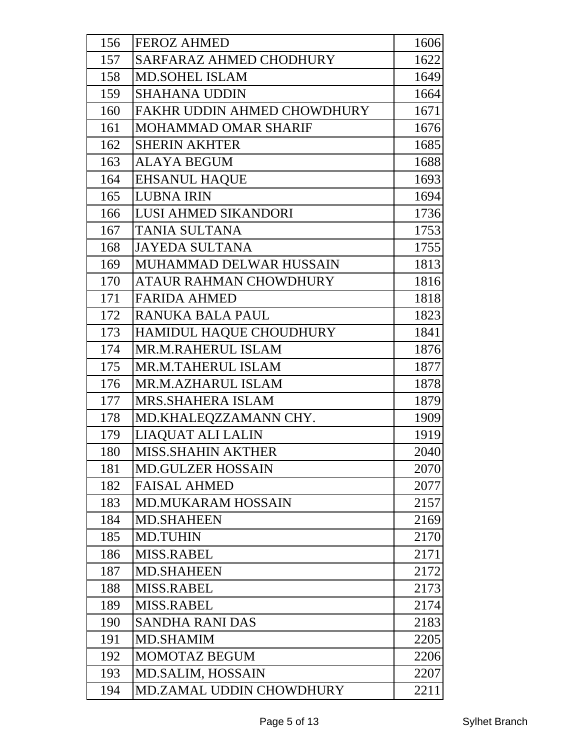| 156 | <b>FEROZ AHMED</b>              | 1606 |
|-----|---------------------------------|------|
| 157 | <b>SARFARAZ AHMED CHODHURY</b>  | 1622 |
| 158 | <b>MD.SOHEL ISLAM</b>           | 1649 |
| 159 | <b>SHAHANA UDDIN</b>            | 1664 |
| 160 | FAKHR UDDIN AHMED CHOWDHURY     | 1671 |
| 161 | <b>MOHAMMAD OMAR SHARIF</b>     | 1676 |
| 162 | <b>SHERIN AKHTER</b>            | 1685 |
| 163 | <b>ALAYA BEGUM</b>              | 1688 |
| 164 | <b>EHSANUL HAQUE</b>            | 1693 |
| 165 | <b>LUBNA IRIN</b>               | 1694 |
| 166 | <b>LUSI AHMED SIKANDORI</b>     | 1736 |
| 167 | <b>TANIA SULTANA</b>            | 1753 |
| 168 | <b>JAYEDA SULTANA</b>           | 1755 |
| 169 | MUHAMMAD DELWAR HUSSAIN         | 1813 |
| 170 | ATAUR RAHMAN CHOWDHURY          | 1816 |
| 171 | <b>FARIDA AHMED</b>             | 1818 |
| 172 | RANUKA BALA PAUL                | 1823 |
| 173 | <b>HAMIDUL HAQUE CHOUDHURY</b>  | 1841 |
| 174 | MR.M.RAHERUL ISLAM              | 1876 |
| 175 | MR.M.TAHERUL ISLAM              | 1877 |
| 176 | <b>MR.M.AZHARUL ISLAM</b>       | 1878 |
| 177 | <b>MRS.SHAHERA ISLAM</b>        | 1879 |
| 178 | MD.KHALEQZZAMANN CHY.           | 1909 |
| 179 | LIAQUAT ALI LALIN               | 1919 |
| 180 | MISS.SHAHIN AKTHER              | 2040 |
| 181 | <b>MD.GULZER HOSSAIN</b>        | 2070 |
| 182 | <b>FAISAL AHMED</b>             | 2077 |
| 183 | <b>MD.MUKARAM HOSSAIN</b>       | 2157 |
| 184 | <b>MD.SHAHEEN</b>               | 2169 |
| 185 | <b>MD.TUHIN</b>                 | 2170 |
| 186 | <b>MISS.RABEL</b>               | 2171 |
| 187 | <b>MD.SHAHEEN</b>               | 2172 |
| 188 | <b>MISS.RABEL</b>               | 2173 |
| 189 | <b>MISS.RABEL</b>               | 2174 |
| 190 | <b>SANDHA RANI DAS</b>          | 2183 |
| 191 | <b>MD.SHAMIM</b>                | 2205 |
| 192 | <b>MOMOTAZ BEGUM</b>            | 2206 |
| 193 | <b>MD.SALIM, HOSSAIN</b>        | 2207 |
| 194 | <b>MD.ZAMAL UDDIN CHOWDHURY</b> | 2211 |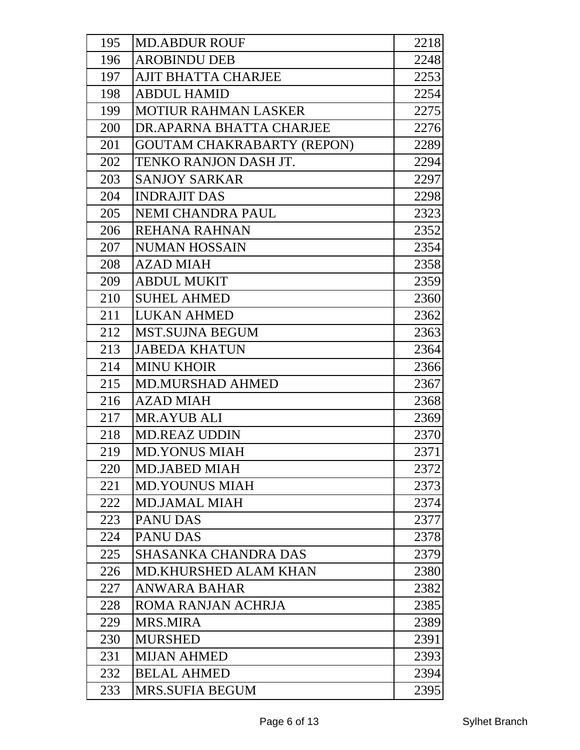| 195 | <b>MD.ABDUR ROUF</b>              | 2218 |
|-----|-----------------------------------|------|
| 196 | <b>AROBINDU DEB</b>               | 2248 |
| 197 | <b>AJIT BHATTA CHARJEE</b>        | 2253 |
| 198 | <b>ABDUL HAMID</b>                | 2254 |
| 199 | <b>MOTIUR RAHMAN LASKER</b>       | 2275 |
| 200 | DR.APARNA BHATTA CHARJEE          | 2276 |
| 201 | <b>GOUTAM CHAKRABARTY (REPON)</b> | 2289 |
| 202 | TENKO RANJON DASH JT.             | 2294 |
| 203 | <b>SANJOY SARKAR</b>              | 2297 |
| 204 | <b>INDRAJIT DAS</b>               | 2298 |
| 205 | NEMI CHANDRA PAUL                 | 2323 |
| 206 | REHANA RAHNAN                     | 2352 |
| 207 | <b>NUMAN HOSSAIN</b>              | 2354 |
| 208 | <b>AZAD MIAH</b>                  | 2358 |
| 209 | <b>ABDUL MUKIT</b>                | 2359 |
| 210 | <b>SUHEL AHMED</b>                | 2360 |
| 211 | <b>LUKAN AHMED</b>                | 2362 |
| 212 | <b>MST.SUJNA BEGUM</b>            | 2363 |
| 213 | <b>JABEDA KHATUN</b>              | 2364 |
| 214 | <b>MINU KHOIR</b>                 | 2366 |
| 215 | <b>MD.MURSHAD AHMED</b>           | 2367 |
| 216 | <b>AZAD MIAH</b>                  | 2368 |
| 217 | <b>MR.AYUB ALI</b>                | 2369 |
| 218 | <b>MD.REAZ UDDIN</b>              | 2370 |
| 219 | <b>MD.YONUS MIAH</b>              | 2371 |
| 220 | <b>MD.JABED MIAH</b>              | 2372 |
| 221 | <b>MD.YOUNUS MIAH</b>             | 2373 |
| 222 | <b>MD.JAMAL MIAH</b>              | 2374 |
| 223 | <b>PANU DAS</b>                   | 2377 |
| 224 | <b>PANU DAS</b>                   | 2378 |
| 225 | <b>SHASANKA CHANDRA DAS</b>       | 2379 |
| 226 | <b>MD.KHURSHED ALAM KHAN</b>      | 2380 |
| 227 | <b>ANWARA BAHAR</b>               | 2382 |
| 228 | ROMA RANJAN ACHRJA                | 2385 |
| 229 | <b>MRS.MIRA</b>                   | 2389 |
| 230 | <b>MURSHED</b>                    | 2391 |
| 231 | <b>MIJAN AHMED</b>                | 2393 |
| 232 | <b>BELAL AHMED</b>                | 2394 |
| 233 | <b>MRS.SUFIA BEGUM</b>            | 2395 |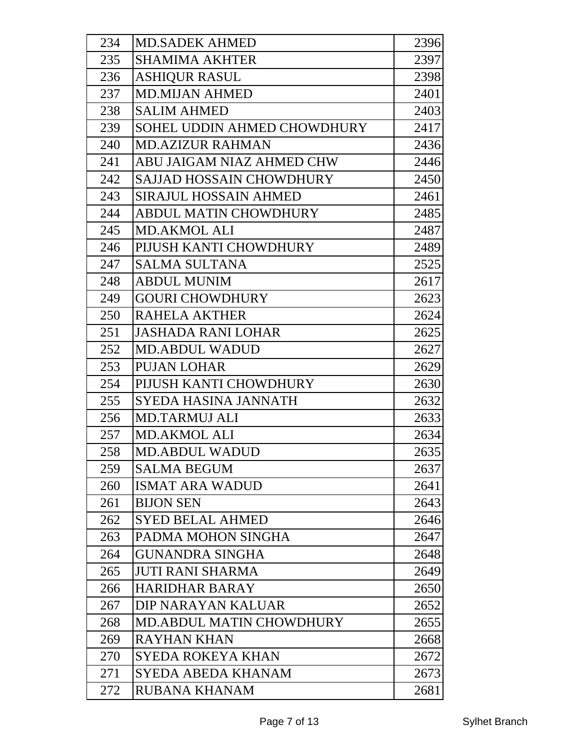| 234 | <b>MD.SADEK AHMED</b>           | 2396 |
|-----|---------------------------------|------|
| 235 | <b>SHAMIMA AKHTER</b>           | 2397 |
| 236 | <b>ASHIQUR RASUL</b>            | 2398 |
| 237 | <b>MD.MIJAN AHMED</b>           | 2401 |
| 238 | <b>SALIM AHMED</b>              | 2403 |
| 239 | SOHEL UDDIN AHMED CHOWDHURY     | 2417 |
| 240 | <b>MD.AZIZUR RAHMAN</b>         | 2436 |
| 241 | ABU JAIGAM NIAZ AHMED CHW       | 2446 |
| 242 | <b>SAJJAD HOSSAIN CHOWDHURY</b> | 2450 |
| 243 | <b>SIRAJUL HOSSAIN AHMED</b>    | 2461 |
| 244 | <b>ABDUL MATIN CHOWDHURY</b>    | 2485 |
| 245 | <b>MD.AKMOL ALI</b>             | 2487 |
| 246 | PIJUSH KANTI CHOWDHURY          | 2489 |
| 247 | <b>SALMA SULTANA</b>            | 2525 |
| 248 | <b>ABDUL MUNIM</b>              | 2617 |
| 249 | <b>GOURI CHOWDHURY</b>          | 2623 |
| 250 | <b>RAHELA AKTHER</b>            | 2624 |
| 251 | <b>JASHADA RANI LOHAR</b>       | 2625 |
| 252 | <b>MD.ABDUL WADUD</b>           | 2627 |
| 253 | <b>PUJAN LOHAR</b>              | 2629 |
| 254 | PIJUSH KANTI CHOWDHURY          | 2630 |
| 255 | SYEDA HASINA JANNATH            | 2632 |
| 256 | <b>MD.TARMUJ ALI</b>            | 2633 |
| 257 | <b>MD.AKMOL ALI</b>             | 2634 |
| 258 | <b>MD.ABDUL WADUD</b>           | 2635 |
| 259 | <b>SALMA BEGUM</b>              | 2637 |
| 260 | <b>ISMAT ARA WADUD</b>          | 2641 |
| 261 | <b>BIJON SEN</b>                | 2643 |
| 262 | <b>SYED BELAL AHMED</b>         | 2646 |
| 263 | PADMA MOHON SINGHA              | 2647 |
| 264 | <b>GUNANDRA SINGHA</b>          | 2648 |
| 265 | <b>JUTI RANI SHARMA</b>         | 2649 |
| 266 | <b>HARIDHAR BARAY</b>           | 2650 |
| 267 | DIP NARAYAN KALUAR              | 2652 |
| 268 | <b>MD.ABDUL MATIN CHOWDHURY</b> | 2655 |
| 269 | <b>RAYHAN KHAN</b>              | 2668 |
| 270 | <b>SYEDA ROKEYA KHAN</b>        | 2672 |
| 271 | <b>SYEDA ABEDA KHANAM</b>       | 2673 |
| 272 | RUBANA KHANAM                   | 2681 |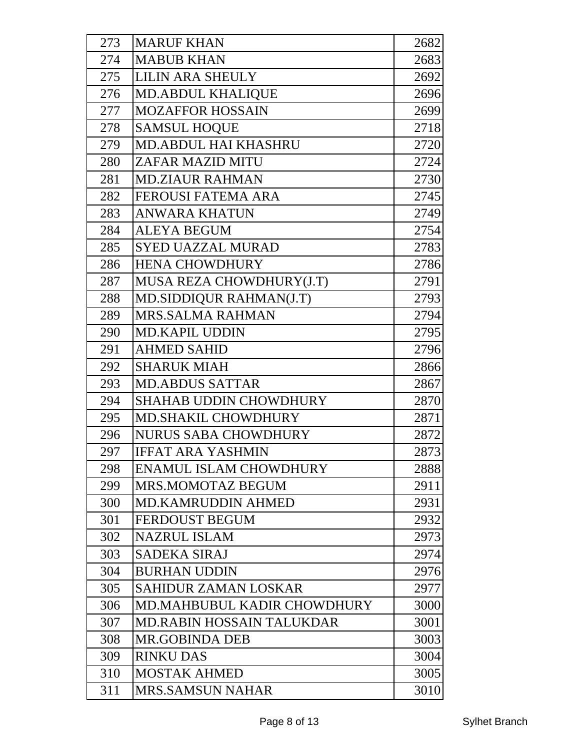| 273 | <b>MARUF KHAN</b>             | 2682 |
|-----|-------------------------------|------|
| 274 | <b>MABUB KHAN</b>             | 2683 |
| 275 | <b>LILIN ARA SHEULY</b>       | 2692 |
| 276 | <b>MD.ABDUL KHALIQUE</b>      | 2696 |
| 277 | <b>MOZAFFOR HOSSAIN</b>       | 2699 |
| 278 | <b>SAMSUL HOQUE</b>           | 2718 |
| 279 | <b>MD.ABDUL HAI KHASHRU</b>   | 2720 |
| 280 | ZAFAR MAZID MITU              | 2724 |
| 281 | <b>MD.ZIAUR RAHMAN</b>        | 2730 |
| 282 | <b>FEROUSI FATEMA ARA</b>     | 2745 |
| 283 | <b>ANWARA KHATUN</b>          | 2749 |
| 284 | <b>ALEYA BEGUM</b>            | 2754 |
| 285 | <b>SYED UAZZAL MURAD</b>      | 2783 |
| 286 | <b>HENA CHOWDHURY</b>         | 2786 |
| 287 | MUSA REZA CHOWDHURY(J.T)      | 2791 |
| 288 | MD.SIDDIQUR RAHMAN(J.T)       | 2793 |
| 289 | <b>MRS.SALMA RAHMAN</b>       | 2794 |
| 290 | <b>MD.KAPIL UDDIN</b>         | 2795 |
| 291 | <b>AHMED SAHID</b>            | 2796 |
| 292 | <b>SHARUK MIAH</b>            | 2866 |
| 293 | <b>MD.ABDUS SATTAR</b>        | 2867 |
| 294 | <b>SHAHAB UDDIN CHOWDHURY</b> | 2870 |
| 295 | <b>MD.SHAKIL CHOWDHURY</b>    | 2871 |
| 296 | <b>NURUS SABA CHOWDHURY</b>   | 2872 |
| 297 | <b>IFFAT ARA YASHMIN</b>      | 2873 |
| 298 | <b>ENAMUL ISLAM CHOWDHURY</b> | 2888 |
| 299 | MRS.MOMOTAZ BEGUM             | 2911 |
| 300 | <b>MD.KAMRUDDIN AHMED</b>     | 2931 |
| 301 | <b>FERDOUST BEGUM</b>         | 2932 |
| 302 | <b>NAZRUL ISLAM</b>           | 2973 |
| 303 | <b>SADEKA SIRAJ</b>           | 2974 |
| 304 | <b>BURHAN UDDIN</b>           | 2976 |
| 305 | <b>SAHIDUR ZAMAN LOSKAR</b>   | 2977 |
| 306 | MD.MAHBUBUL KADIR CHOWDHURY   | 3000 |
| 307 | MD.RABIN HOSSAIN TALUKDAR     | 3001 |
| 308 | <b>MR.GOBINDA DEB</b>         | 3003 |
| 309 | <b>RINKU DAS</b>              | 3004 |
| 310 | <b>MOSTAK AHMED</b>           | 3005 |
| 311 | <b>MRS.SAMSUN NAHAR</b>       | 3010 |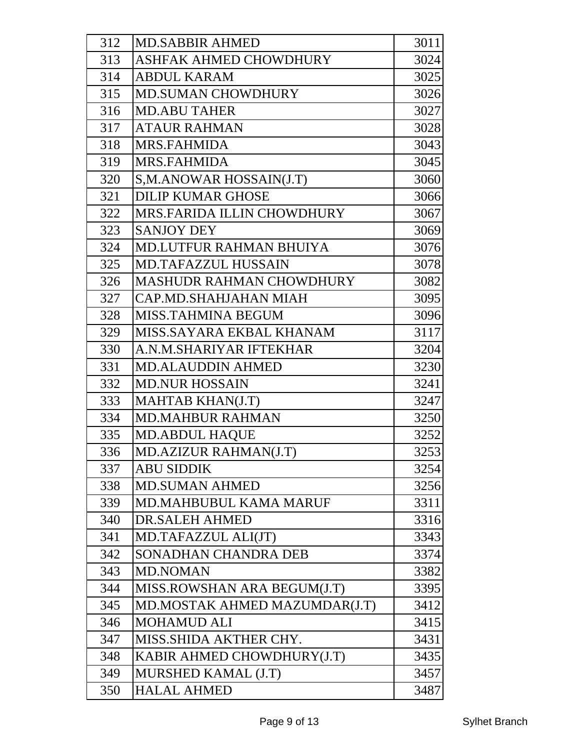| 312 | <b>MD.SABBIR AHMED</b>            | 3011 |
|-----|-----------------------------------|------|
| 313 | ASHFAK AHMED CHOWDHURY            | 3024 |
| 314 | <b>ABDUL KARAM</b>                | 3025 |
| 315 | <b>MD.SUMAN CHOWDHURY</b>         | 3026 |
| 316 | <b>MD.ABU TAHER</b>               | 3027 |
| 317 | <b>ATAUR RAHMAN</b>               | 3028 |
| 318 | <b>MRS.FAHMIDA</b>                | 3043 |
| 319 | <b>MRS.FAHMIDA</b>                | 3045 |
| 320 | S,M.ANOWAR HOSSAIN(J.T)           | 3060 |
| 321 | <b>DILIP KUMAR GHOSE</b>          | 3066 |
| 322 | <b>MRS.FARIDA ILLIN CHOWDHURY</b> | 3067 |
| 323 | <b>SANJOY DEY</b>                 | 3069 |
| 324 | <b>MD.LUTFUR RAHMAN BHUIYA</b>    | 3076 |
| 325 | <b>MD.TAFAZZUL HUSSAIN</b>        | 3078 |
| 326 | <b>MASHUDR RAHMAN CHOWDHURY</b>   | 3082 |
| 327 | CAP.MD.SHAHJAHAN MIAH             | 3095 |
| 328 | <b>MISS.TAHMINA BEGUM</b>         | 3096 |
| 329 | MISS.SAYARA EKBAL KHANAM          | 3117 |
| 330 | A.N.M.SHARIYAR IFTEKHAR           | 3204 |
| 331 | <b>MD.ALAUDDIN AHMED</b>          | 3230 |
| 332 | <b>MD.NUR HOSSAIN</b>             | 3241 |
| 333 | MAHTAB KHAN(J.T)                  | 3247 |
| 334 | <b>MD.MAHBUR RAHMAN</b>           | 3250 |
| 335 | <b>MD.ABDUL HAQUE</b>             | 3252 |
| 336 | MD.AZIZUR RAHMAN(J.T)             | 3253 |
| 337 | <b>ABU SIDDIK</b>                 | 3254 |
| 338 | <b>MD.SUMAN AHMED</b>             | 3256 |
| 339 | MD.MAHBUBUL KAMA MARUF            | 3311 |
| 340 | <b>DR.SALEH AHMED</b>             | 3316 |
| 341 | MD.TAFAZZUL ALI(JT)               | 3343 |
| 342 | SONADHAN CHANDRA DEB              | 3374 |
| 343 | <b>MD.NOMAN</b>                   | 3382 |
| 344 | MISS.ROWSHAN ARA BEGUM(J.T)       | 3395 |
| 345 | MD.MOSTAK AHMED MAZUMDAR(J.T)     | 3412 |
| 346 | <b>MOHAMUD ALI</b>                | 3415 |
| 347 | MISS.SHIDA AKTHER CHY.            | 3431 |
| 348 | KABIR AHMED CHOWDHURY(J.T)        | 3435 |
| 349 | MURSHED KAMAL (J.T)               | 3457 |
| 350 | <b>HALAL AHMED</b>                | 3487 |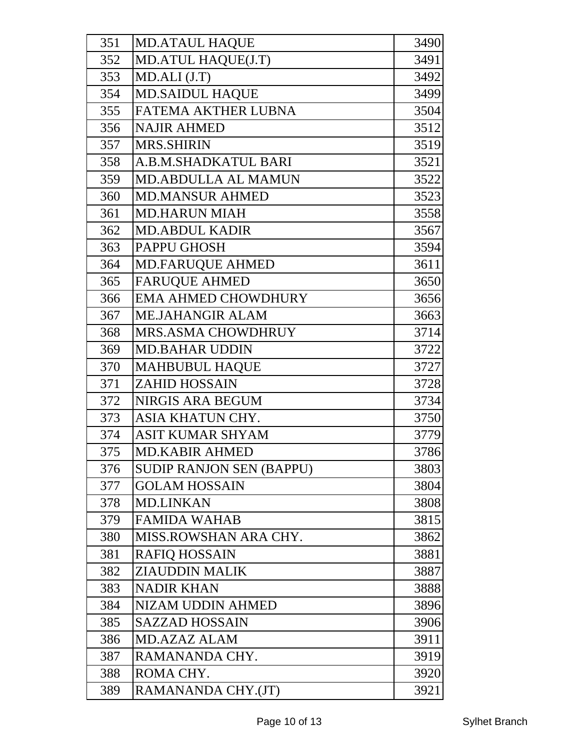| 351 | <b>MD.ATAUL HAQUE</b>           | 3490 |
|-----|---------------------------------|------|
| 352 | MD.ATUL HAQUE(J.T)              | 3491 |
| 353 | MD.ALI (J.T)                    | 3492 |
| 354 | <b>MD.SAIDUL HAQUE</b>          | 3499 |
| 355 | FATEMA AKTHER LUBNA             | 3504 |
| 356 | <b>NAJIR AHMED</b>              | 3512 |
| 357 | <b>MRS.SHIRIN</b>               | 3519 |
| 358 | A.B.M.SHADKATUL BARI            | 3521 |
| 359 | MD.ABDULLA AL MAMUN             | 3522 |
| 360 | <b>MD.MANSUR AHMED</b>          | 3523 |
| 361 | <b>MD.HARUN MIAH</b>            | 3558 |
| 362 | <b>MD.ABDUL KADIR</b>           | 3567 |
| 363 | <b>PAPPU GHOSH</b>              | 3594 |
| 364 | <b>MD.FARUQUE AHMED</b>         | 3611 |
| 365 | <b>FARUQUE AHMED</b>            | 3650 |
| 366 | <b>EMA AHMED CHOWDHURY</b>      | 3656 |
| 367 | <b>ME.JAHANGIR ALAM</b>         | 3663 |
| 368 | <b>MRS.ASMA CHOWDHRUY</b>       | 3714 |
| 369 | <b>MD.BAHAR UDDIN</b>           | 3722 |
| 370 | <b>MAHBUBUL HAQUE</b>           | 3727 |
| 371 | <b>ZAHID HOSSAIN</b>            | 3728 |
| 372 | <b>NIRGIS ARA BEGUM</b>         | 3734 |
| 373 | ASIA KHATUN CHY.                | 3750 |
| 374 | <b>ASIT KUMAR SHYAM</b>         | 3779 |
| 375 | MD.KABIR AHMED                  | 3786 |
| 376 | <b>SUDIP RANJON SEN (BAPPU)</b> | 3803 |
| 377 | <b>GOLAM HOSSAIN</b>            | 3804 |
| 378 | <b>MD.LINKAN</b>                | 3808 |
| 379 | <b>FAMIDA WAHAB</b>             | 3815 |
| 380 | MISS.ROWSHAN ARA CHY.           | 3862 |
| 381 | <b>RAFIQ HOSSAIN</b>            | 3881 |
| 382 | <b>ZIAUDDIN MALIK</b>           | 3887 |
| 383 | <b>NADIR KHAN</b>               | 3888 |
| 384 | <b>NIZAM UDDIN AHMED</b>        | 3896 |
| 385 | <b>SAZZAD HOSSAIN</b>           | 3906 |
| 386 | <b>MD.AZAZ ALAM</b>             | 3911 |
| 387 | RAMANANDA CHY.                  | 3919 |
| 388 | ROMA CHY.                       | 3920 |
| 389 | RAMANANDA CHY.(JT)              | 3921 |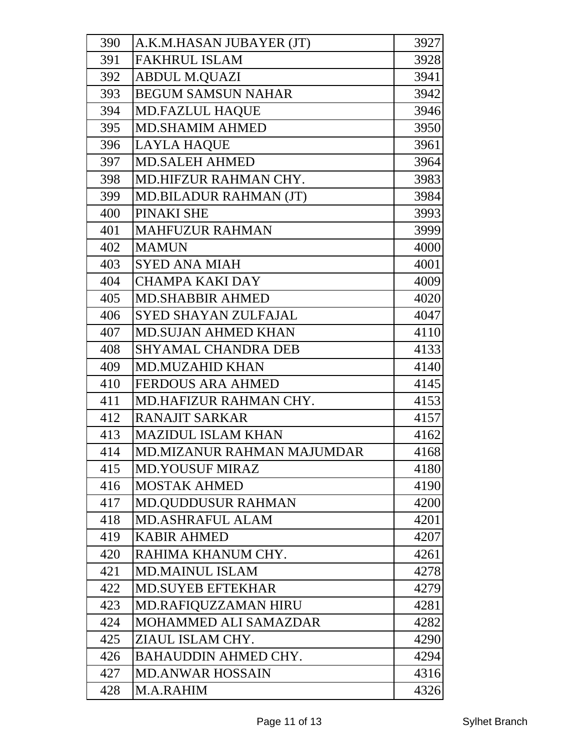| 390 | A.K.M.HASAN JUBAYER (JT)     | 3927 |
|-----|------------------------------|------|
| 391 | <b>FAKHRUL ISLAM</b>         | 3928 |
| 392 | <b>ABDUL M.QUAZI</b>         | 3941 |
| 393 | <b>BEGUM SAMSUN NAHAR</b>    | 3942 |
| 394 | <b>MD.FAZLUL HAQUE</b>       | 3946 |
| 395 | <b>MD.SHAMIM AHMED</b>       | 3950 |
| 396 | <b>LAYLA HAQUE</b>           | 3961 |
| 397 | <b>MD.SALEH AHMED</b>        | 3964 |
| 398 | MD.HIFZUR RAHMAN CHY.        | 3983 |
| 399 | MD.BILADUR RAHMAN (JT)       | 3984 |
| 400 | PINAKI SHE                   | 3993 |
| 401 | <b>MAHFUZUR RAHMAN</b>       | 3999 |
| 402 | <b>MAMUN</b>                 | 4000 |
| 403 | <b>SYED ANA MIAH</b>         | 4001 |
| 404 | <b>CHAMPA KAKI DAY</b>       | 4009 |
| 405 | <b>MD.SHABBIR AHMED</b>      | 4020 |
| 406 | <b>SYED SHAYAN ZULFAJAL</b>  | 4047 |
| 407 | <b>MD.SUJAN AHMED KHAN</b>   | 4110 |
| 408 | <b>SHYAMAL CHANDRA DEB</b>   | 4133 |
| 409 | <b>MD.MUZAHID KHAN</b>       | 4140 |
| 410 | <b>FERDOUS ARA AHMED</b>     | 4145 |
| 411 | MD.HAFIZUR RAHMAN CHY.       | 4153 |
| 412 | <b>RANAJIT SARKAR</b>        | 4157 |
| 413 | <b>MAZIDUL ISLAM KHAN</b>    | 4162 |
| 414 | MD.MIZANUR RAHMAN MAJUMDAR   | 4168 |
| 415 | <b>MD.YOUSUF MIRAZ</b>       | 4180 |
| 416 | <b>MOSTAK AHMED</b>          | 4190 |
| 417 | <b>MD.QUDDUSUR RAHMAN</b>    | 4200 |
| 418 | <b>MD.ASHRAFUL ALAM</b>      | 4201 |
| 419 | <b>KABIR AHMED</b>           | 4207 |
| 420 | RAHIMA KHANUM CHY.           | 4261 |
| 421 | <b>MD.MAINUL ISLAM</b>       | 4278 |
| 422 | <b>MD.SUYEB EFTEKHAR</b>     | 4279 |
| 423 | MD.RAFIQUZZAMAN HIRU         | 4281 |
| 424 | <b>MOHAMMED ALI SAMAZDAR</b> | 4282 |
| 425 | ZIAUL ISLAM CHY.             | 4290 |
| 426 | <b>BAHAUDDIN AHMED CHY.</b>  | 4294 |
| 427 | <b>MD.ANWAR HOSSAIN</b>      | 4316 |
| 428 | M.A.RAHIM                    | 4326 |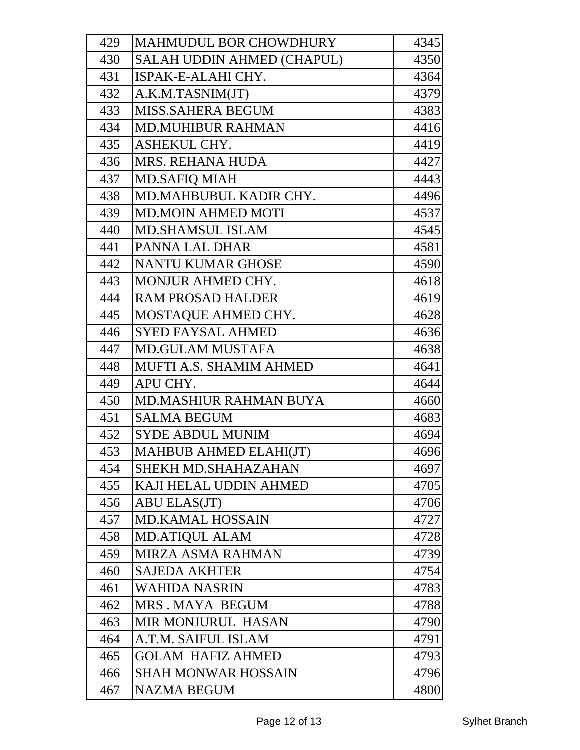| 429 | MAHMUDUL BOR CHOWDHURY        | 4345 |
|-----|-------------------------------|------|
| 430 | SALAH UDDIN AHMED (CHAPUL)    | 4350 |
| 431 | ISPAK-E-ALAHI CHY.            | 4364 |
| 432 | A.K.M.TASNIM(JT)              | 4379 |
| 433 | <b>MISS.SAHERA BEGUM</b>      | 4383 |
| 434 | <b>MD.MUHIBUR RAHMAN</b>      | 4416 |
| 435 | ASHEKUL CHY.                  | 4419 |
| 436 | <b>MRS. REHANA HUDA</b>       | 4427 |
| 437 | <b>MD.SAFIQ MIAH</b>          | 4443 |
| 438 | MD.MAHBUBUL KADIR CHY.        | 4496 |
| 439 | <b>MD.MOIN AHMED MOTI</b>     | 4537 |
| 440 | <b>MD.SHAMSUL ISLAM</b>       | 4545 |
| 441 | PANNA LAL DHAR                | 4581 |
| 442 | <b>NANTU KUMAR GHOSE</b>      | 4590 |
| 443 | <b>MONJUR AHMED CHY.</b>      | 4618 |
| 444 | <b>RAM PROSAD HALDER</b>      | 4619 |
| 445 | MOSTAQUE AHMED CHY.           | 4628 |
| 446 | <b>SYED FAYSAL AHMED</b>      | 4636 |
| 447 | <b>MD.GULAM MUSTAFA</b>       | 4638 |
| 448 | MUFTI A.S. SHAMIM AHMED       | 4641 |
| 449 | APU CHY.                      | 4644 |
| 450 | <b>MD.MASHIUR RAHMAN BUYA</b> | 4660 |
| 451 | <b>SALMA BEGUM</b>            | 4683 |
| 452 | <b>SYDE ABDUL MUNIM</b>       | 4694 |
| 453 | MAHBUB AHMED ELAHI(JT)        | 4696 |
| 454 | SHEKH MD.SHAHAZAHAN           | 4697 |
| 455 | KAJI HELAL UDDIN AHMED        | 4705 |
| 456 | <b>ABU ELAS(JT)</b>           | 4706 |
| 457 | <b>MD.KAMAL HOSSAIN</b>       | 4727 |
| 458 | <b>MD.ATIQUL ALAM</b>         | 4728 |
| 459 | MIRZA ASMA RAHMAN             | 4739 |
| 460 | <b>SAJEDA AKHTER</b>          | 4754 |
| 461 | <b>WAHIDA NASRIN</b>          | 4783 |
| 462 | MRS. MAYA BEGUM               | 4788 |
| 463 | MIR MONJURUL HASAN            | 4790 |
| 464 | A.T.M. SAIFUL ISLAM           | 4791 |
| 465 | <b>GOLAM HAFIZ AHMED</b>      | 4793 |
| 466 | <b>SHAH MONWAR HOSSAIN</b>    | 4796 |
| 467 | <b>NAZMA BEGUM</b>            | 4800 |